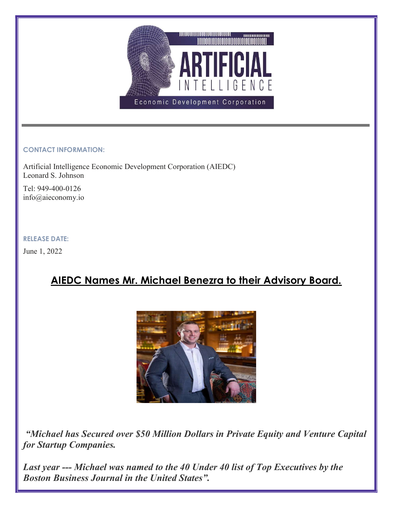

## CONTACT INFORMATION:

Artificial Intelligence Economic Development Corporation (AIEDC) Leonard S. Johnson

Tel: 949-400-0126 info@aieconomy.io

## RELEASE DATE:

June 1, 2022

# AIEDC Names Mr. Michael Benezra to their Advisory Board.



 "Michael has Secured over \$50 Million Dollars in Private Equity and Venture Capital for Startup Companies.

Last year --- Michael was named to the 40 Under 40 list of Top Executives by the Boston Business Journal in the United States".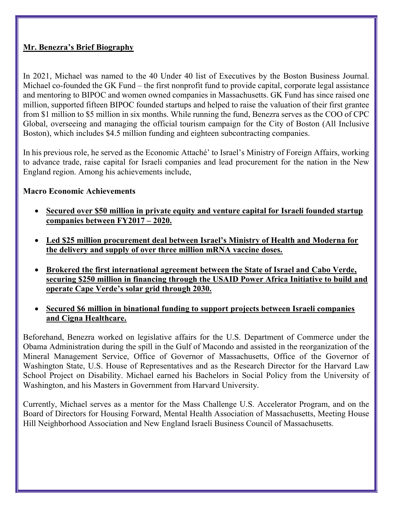## Mr. Benezra's Brief Biography

In 2021, Michael was named to the 40 Under 40 list of Executives by the Boston Business Journal. Michael co-founded the GK Fund – the first nonprofit fund to provide capital, corporate legal assistance and mentoring to BIPOC and women owned companies in Massachusetts. GK Fund has since raised one million, supported fifteen BIPOC founded startups and helped to raise the valuation of their first grantee from \$1 million to \$5 million in six months. While running the fund, Benezra serves as the COO of CPC Global, overseeing and managing the official tourism campaign for the City of Boston (All Inclusive Boston), which includes \$4.5 million funding and eighteen subcontracting companies.

In his previous role, he served as the Economic Attaché' to Israel's Ministry of Foreign Affairs, working to advance trade, raise capital for Israeli companies and lead procurement for the nation in the New England region. Among his achievements include,

## Macro Economic Achievements

- Secured over \$50 million in private equity and venture capital for Israeli founded startup companies between FY2017 – 2020.
- Led \$25 million procurement deal between Israel's Ministry of Health and Moderna for the delivery and supply of over three million mRNA vaccine doses.
- Brokered the first international agreement between the State of Israel and Cabo Verde, securing \$250 million in financing through the USAID Power Africa Initiative to build and operate Cape Verde's solar grid through 2030.
- Secured \$6 million in binational funding to support projects between Israeli companies and Cigna Healthcare.

Beforehand, Benezra worked on legislative affairs for the U.S. Department of Commerce under the Obama Administration during the spill in the Gulf of Macondo and assisted in the reorganization of the Mineral Management Service, Office of Governor of Massachusetts, Office of the Governor of Washington State, U.S. House of Representatives and as the Research Director for the Harvard Law School Project on Disability. Michael earned his Bachelors in Social Policy from the University of Washington, and his Masters in Government from Harvard University.

Currently, Michael serves as a mentor for the Mass Challenge U.S. Accelerator Program, and on the Board of Directors for Housing Forward, Mental Health Association of Massachusetts, Meeting House Hill Neighborhood Association and New England Israeli Business Council of Massachusetts.